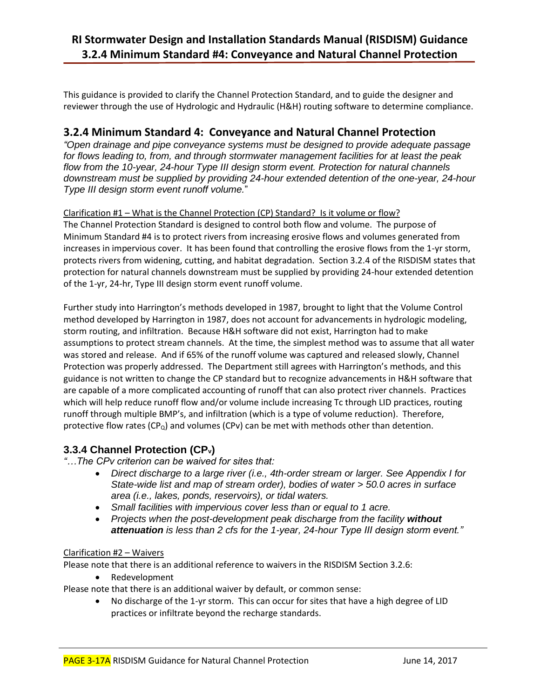# **RI Stormwater Design and Installation Standards Manual (RISDISM) Guidance 3.2.4 Minimum Standard #4: Conveyance and Natural Channel Protection**

This guidance is provided to clarify the Channel Protection Standard, and to guide the designer and reviewer through the use of Hydrologic and Hydraulic (H&H) routing software to determine compliance.

## **3.2.4 Minimum Standard 4: Conveyance and Natural Channel Protection**

*"Open drainage and pipe conveyance systems must be designed to provide adequate passage for flows leading to, from, and through stormwater management facilities for at least the peak flow from the 10-year, 24-hour Type III design storm event. Protection for natural channels downstream must be supplied by providing 24-hour extended detention of the one-year, 24-hour Type III design storm event runoff volume.*"

### Clarification #1 – What is the Channel Protection (CP) Standard? Is it volume or flow?

The Channel Protection Standard is designed to control both flow and volume. The purpose of Minimum Standard #4 is to protect rivers from increasing erosive flows and volumes generated from increases in impervious cover. It has been found that controlling the erosive flows from the 1-yr storm, protects rivers from widening, cutting, and habitat degradation. Section 3.2.4 of the RISDISM states that protection for natural channels downstream must be supplied by providing 24-hour extended detention of the 1-yr, 24-hr, Type III design storm event runoff volume.

Further study into Harrington's methods developed in 1987, brought to light that the Volume Control method developed by Harrington in 1987, does not account for advancements in hydrologic modeling, storm routing, and infiltration. Because H&H software did not exist, Harrington had to make assumptions to protect stream channels. At the time, the simplest method was to assume that all water was stored and release. And if 65% of the runoff volume was captured and released slowly, Channel Protection was properly addressed. The Department still agrees with Harrington's methods, and this guidance is not written to change the CP standard but to recognize advancements in H&H software that are capable of a more complicated accounting of runoff that can also protect river channels. Practices which will help reduce runoff flow and/or volume include increasing Tc through LID practices, routing runoff through multiple BMP's, and infiltration (which is a type of volume reduction). Therefore, protective flow rates ( $CP<sub>Q</sub>$ ) and volumes (CPv) can be met with methods other than detention.

## **3.3.4 Channel Protection (CPv)**

- *"…The CPv criterion can be waived for sites that:*
	- *Direct discharge to a large river (i.e., 4th-order stream or larger. See Appendix I for State-wide list and map of stream order), bodies of water > 50.0 acres in surface area (i.e., lakes, ponds, reservoirs), or tidal waters.*
	- *Small facilities with impervious cover less than or equal to 1 acre.*
	- Projects when the post-development peak discharge from the facility without *attenuation is less than 2 cfs for the 1-year, 24-hour Type III design storm event."*

### Clarification #2 – Waivers

Please note that there is an additional reference to waivers in the RISDISM Section 3.2.6:

• Redevelopment

Please note that there is an additional waiver by default, or common sense:

 No discharge of the 1-yr storm. This can occur for sites that have a high degree of LID practices or infiltrate beyond the recharge standards.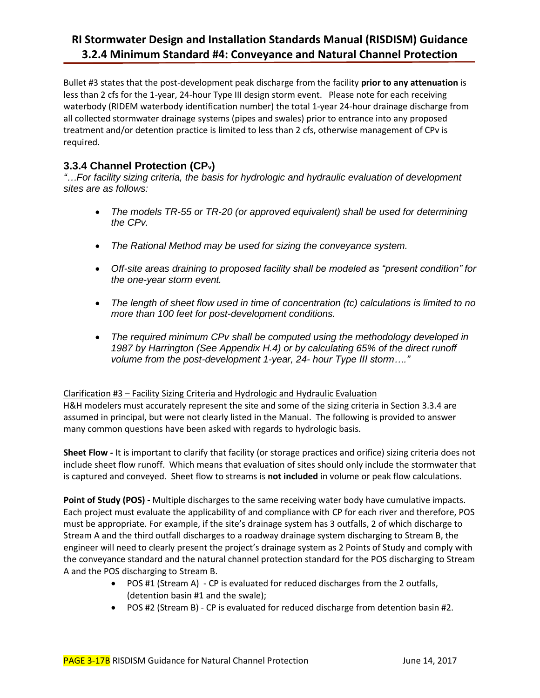# **RI Stormwater Design and Installation Standards Manual (RISDISM) Guidance 3.2.4 Minimum Standard #4: Conveyance and Natural Channel Protection**

Bullet #3 states that the post-development peak discharge from the facility **prior to any attenuation** is less than 2 cfs for the 1-year, 24-hour Type III design storm event. Please note for each receiving waterbody (RIDEM waterbody identification number) the total 1-year 24-hour drainage discharge from all collected stormwater drainage systems (pipes and swales) prior to entrance into any proposed treatment and/or detention practice is limited to less than 2 cfs, otherwise management of CPv is required.

## **3.3.4 Channel Protection (CPv)**

*"…For facility sizing criteria, the basis for hydrologic and hydraulic evaluation of development sites are as follows:*

- *The models TR-55 or TR-20 (or approved equivalent) shall be used for determining the CPv.*
- *The Rational Method may be used for sizing the conveyance system.*
- *Off-site areas draining to proposed facility shall be modeled as "present condition" for the one-year storm event.*
- *The length of sheet flow used in time of concentration (tc) calculations is limited to no more than 100 feet for post-development conditions.*
- *The required minimum CPv shall be computed using the methodology developed in 1987 by Harrington (See Appendix H.4) or by calculating 65% of the direct runoff volume from the post-development 1-year, 24- hour Type III storm…."*

### Clarification #3 – Facility Sizing Criteria and Hydrologic and Hydraulic Evaluation

H&H modelers must accurately represent the site and some of the sizing criteria in Section 3.3.4 are assumed in principal, but were not clearly listed in the Manual. The following is provided to answer many common questions have been asked with regards to hydrologic basis.

**Sheet Flow -** It is important to clarify that facility (or storage practices and orifice) sizing criteria does not include sheet flow runoff. Which means that evaluation of sites should only include the stormwater that is captured and conveyed. Sheet flow to streams is **not included** in volume or peak flow calculations.

**Point of Study (POS) -** Multiple discharges to the same receiving water body have cumulative impacts. Each project must evaluate the applicability of and compliance with CP for each river and therefore, POS must be appropriate. For example, if the site's drainage system has 3 outfalls, 2 of which discharge to Stream A and the third outfall discharges to a roadway drainage system discharging to Stream B, the engineer will need to clearly present the project's drainage system as 2 Points of Study and comply with the conveyance standard and the natural channel protection standard for the POS discharging to Stream A and the POS discharging to Stream B.

- POS #1 (Stream A) CP is evaluated for reduced discharges from the 2 outfalls, (detention basin #1 and the swale);
- POS #2 (Stream B) CP is evaluated for reduced discharge from detention basin #2.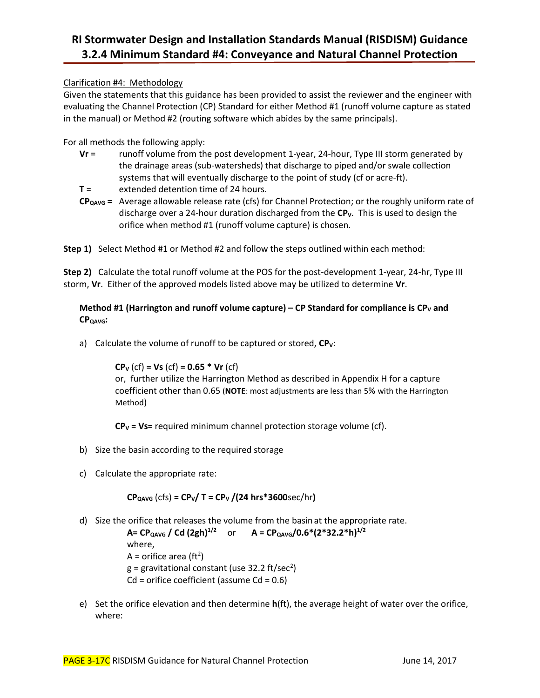# **RI Stormwater Design and Installation Standards Manual (RISDISM) Guidance 3.2.4 Minimum Standard #4: Conveyance and Natural Channel Protection**

### Clarification #4: Methodology

Given the statements that this guidance has been provided to assist the reviewer and the engineer with evaluating the Channel Protection (CP) Standard for either Method #1 (runoff volume capture as stated in the manual) or Method #2 (routing software which abides by the same principals).

For all methods the following apply:

- **Vr** = runoff volume from the post development 1-year, 24-hour, Type III storm generated by the drainage areas (sub-watersheds) that discharge to piped and/or swale collection systems that will eventually discharge to the point of study (cf or acre-ft).
- **T** = extended detention time of 24 hours.
- **CPQAVG =** Average allowable release rate (cfs) for Channel Protection; or the roughly uniform rate of discharge over a 24-hour duration discharged from the **CPV**. This is used to design the orifice when method #1 (runoff volume capture) is chosen.

**Step 1)** Select Method #1 or Method #2 and follow the steps outlined within each method:

**Step 2)** Calculate the total runoff volume at the POS for the post-development 1-year, 24-hr, Type III storm, **Vr**. Either of the approved models listed above may be utilized to determine **Vr**.

### **Method #1 (Harrington and runoff volume capture) – CP Standard for compliance is CP<sup>V</sup> and CPQAVG:**

a) Calculate the volume of runoff to be captured or stored,  $CP_V$ :

**CP<sup>V</sup>** (cf) **= Vs** (cf) **= 0.65 \* Vr** (cf)

or, further utilize the Harrington Method as described in Appendix H for a capture coefficient other than 0.65 (**NOTE**: most adjustments are less than 5% with the Harrington Method)

**CP<sup>V</sup> = Vs=** required minimum channel protection storage volume (cf).

- b) Size the basin according to the required storage
- c) Calculate the appropriate rate:

**CPQAVG** (cfs) **= CPV/ T = CP<sup>V</sup> /(24 hrs\*3600**sec/hr**)**

d) Size the orifice that releases the volume from the basin at the appropriate rate.

**A= CPQAVG / Cd (2gh)1/2** or **A = CPQAVG/0.6\*(2\*32.2\*h)1/2** where, A = orifice area (ft<sup>2</sup>)  $g$  = gravitational constant (use 32.2 ft/sec<sup>2</sup>)  $Cd =$  orifice coefficient (assume  $Cd = 0.6$ )

e) Set the orifice elevation and then determine **h**(ft), the average height of water over the orifice, where: